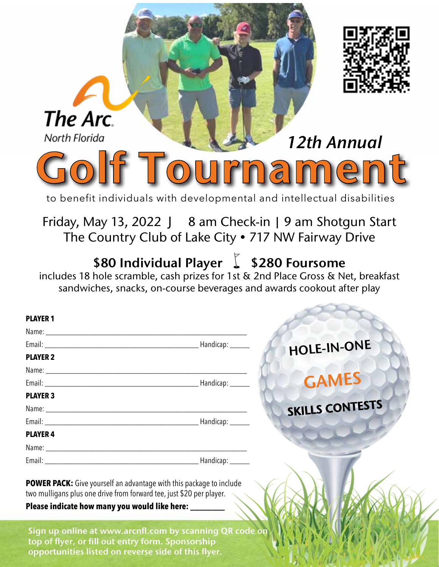| The Arc.<br>North Florida                                                                                                                                                                                                                           |  | 12th Annual                                                                                |  |
|-----------------------------------------------------------------------------------------------------------------------------------------------------------------------------------------------------------------------------------------------------|--|--------------------------------------------------------------------------------------------|--|
|                                                                                                                                                                                                                                                     |  | <b>urnament</b><br>to benefit individuals with developmental and intellectual disabilities |  |
| Friday, May 13, 2022 $J$ 8 am Check-in   9 am Shotgun Start<br>The Country Club of Lake City . 717 NW Fairway Drive<br>\$80 Individual Player \ \$280 Foursome<br>includes 18 hole scramble, cash prizes for 1st & 2nd Place Gross & Net, breakfast |  |                                                                                            |  |
| <b>PLAYER</b>                                                                                                                                                                                                                                       |  | sandwiches, snacks, on-course beverages and awards cookout after play                      |  |
| <b>PLAYER 2</b>                                                                                                                                                                                                                                     |  | HOLE-IN-ONE<br><b>GAMES</b>                                                                |  |
| <b>PLAYER 3</b><br><b>PLAYER 4</b>                                                                                                                                                                                                                  |  | <b>SKILLS CONTESTS</b>                                                                     |  |
| <b>POWER PACK:</b> Give yourself an advantage with this package to include<br>two mulligans plus one drive from forward tee, just \$20 per player.                                                                                                  |  |                                                                                            |  |
| Please indicate how many you would like here: _______<br>Sign up online at www.arcnfl.com by scanning QR code on<br>top of flyer, or fill out entry form. Sponsorship<br>opportunities listed on reverse side of this flyer.                        |  |                                                                                            |  |

スートイトのもって人でか

للزل